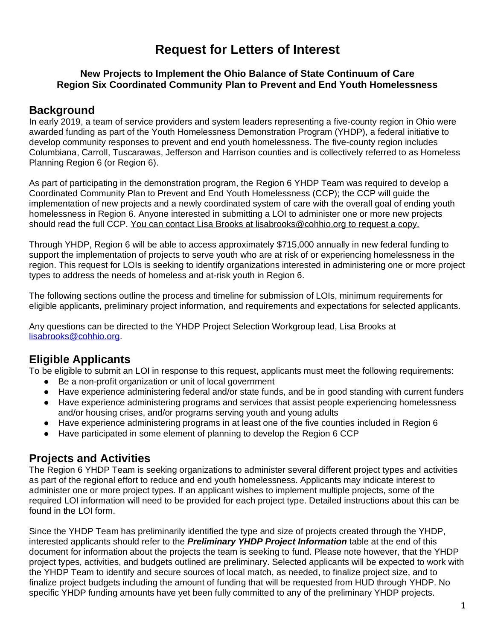# **Request for Letters of Interest**

#### **New Projects to Implement the Ohio Balance of State Continuum of Care Region Six Coordinated Community Plan to Prevent and End Youth Homelessness**

### **Background**

In early 2019, a team of service providers and system leaders representing a five-county region in Ohio were awarded funding as part of the Youth Homelessness Demonstration Program (YHDP), a federal initiative to develop community responses to prevent and end youth homelessness. The five-county region includes Columbiana, Carroll, Tuscarawas, Jefferson and Harrison counties and is collectively referred to as Homeless Planning Region 6 (or Region 6).

As part of participating in the demonstration program, the Region 6 YHDP Team was required to develop a Coordinated Community Plan to Prevent and End Youth Homelessness (CCP); the CCP will guide the implementation of new projects and a newly coordinated system of care with the overall goal of ending youth homelessness in Region 6. Anyone interested in submitting a LOI to administer one or more new projects should read the full CCP. You can contact Lisa Brooks at lisabrooks@cohhio.org to request a copy.

Through YHDP, Region 6 will be able to access approximately \$715,000 annually in new federal funding to support the implementation of projects to serve youth who are at risk of or experiencing homelessness in the region. This request for LOIs is seeking to identify organizations interested in administering one or more project types to address the needs of homeless and at-risk youth in Region 6.

The following sections outline the process and timeline for submission of LOIs, minimum requirements for eligible applicants, preliminary project information, and requirements and expectations for selected applicants.

Any questions can be directed to the YHDP Project Selection Workgroup lead, Lisa Brooks at [lisabrooks@cohhio.org.](mailto:lisabrooks@cohhio.org)

## **Eligible Applicants**

To be eligible to submit an LOI in response to this request, applicants must meet the following requirements:

- Be a non-profit organization or unit of local government
- Have experience administering federal and/or state funds, and be in good standing with current funders
- Have experience administering programs and services that assist people experiencing homelessness and/or housing crises, and/or programs serving youth and young adults
- Have experience administering programs in at least one of the five counties included in Region 6
- Have participated in some element of planning to develop the Region 6 CCP

#### **Projects and Activities**

The Region 6 YHDP Team is seeking organizations to administer several different project types and activities as part of the regional effort to reduce and end youth homelessness. Applicants may indicate interest to administer one or more project types. If an applicant wishes to implement multiple projects, some of the required LOI information will need to be provided for each project type. Detailed instructions about this can be found in the LOI form.

Since the YHDP Team has preliminarily identified the type and size of projects created through the YHDP, interested applicants should refer to the *Preliminary YHDP Project Information* table at the end of this document for information about the projects the team is seeking to fund. Please note however, that the YHDP project types, activities, and budgets outlined are preliminary. Selected applicants will be expected to work with the YHDP Team to identify and secure sources of local match, as needed, to finalize project size, and to finalize project budgets including the amount of funding that will be requested from HUD through YHDP. No specific YHDP funding amounts have yet been fully committed to any of the preliminary YHDP projects.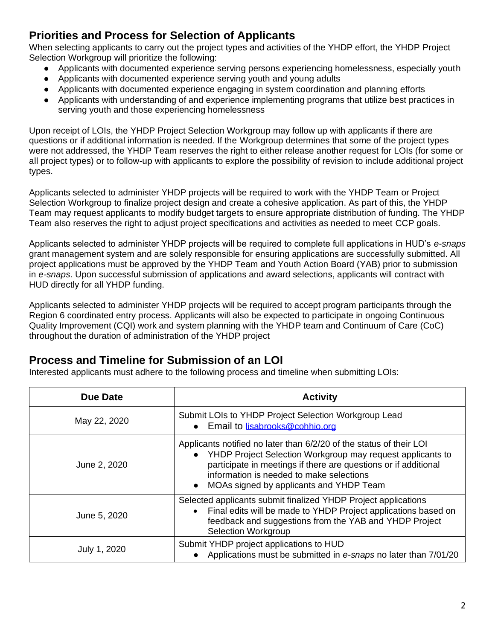# **Priorities and Process for Selection of Applicants**

When selecting applicants to carry out the project types and activities of the YHDP effort, the YHDP Project Selection Workgroup will prioritize the following:

- Applicants with documented experience serving persons experiencing homelessness, especially youth
- Applicants with documented experience serving youth and young adults
- Applicants with documented experience engaging in system coordination and planning efforts
- Applicants with understanding of and experience implementing programs that utilize best practices in serving youth and those experiencing homelessness

Upon receipt of LOIs, the YHDP Project Selection Workgroup may follow up with applicants if there are questions or if additional information is needed. If the Workgroup determines that some of the project types were not addressed, the YHDP Team reserves the right to either release another request for LOIs (for some or all project types) or to follow-up with applicants to explore the possibility of revision to include additional project types.

Applicants selected to administer YHDP projects will be required to work with the YHDP Team or Project Selection Workgroup to finalize project design and create a cohesive application. As part of this, the YHDP Team may request applicants to modify budget targets to ensure appropriate distribution of funding. The YHDP Team also reserves the right to adjust project specifications and activities as needed to meet CCP goals.

Applicants selected to administer YHDP projects will be required to complete full applications in HUD's *e-snaps* grant management system and are solely responsible for ensuring applications are successfully submitted. All project applications must be approved by the YHDP Team and Youth Action Board (YAB) prior to submission in *e-snaps*. Upon successful submission of applications and award selections, applicants will contract with HUD directly for all YHDP funding.

Applicants selected to administer YHDP projects will be required to accept program participants through the Region 6 coordinated entry process. Applicants will also be expected to participate in ongoing Continuous Quality Improvement (CQI) work and system planning with the YHDP team and Continuum of Care (CoC) throughout the duration of administration of the YHDP project

#### **Process and Timeline for Submission of an LOI**

Interested applicants must adhere to the following process and timeline when submitting LOIs:

| Due Date     | <b>Activity</b>                                                                                                                                                                                                                                                                                          |
|--------------|----------------------------------------------------------------------------------------------------------------------------------------------------------------------------------------------------------------------------------------------------------------------------------------------------------|
| May 22, 2020 | Submit LOIs to YHDP Project Selection Workgroup Lead<br>Email to lisabrooks@cohhio.org<br>$\bullet$                                                                                                                                                                                                      |
| June 2, 2020 | Applicants notified no later than 6/2/20 of the status of their LOI<br>YHDP Project Selection Workgroup may request applicants to<br>participate in meetings if there are questions or if additional<br>information is needed to make selections<br>MOAs signed by applicants and YHDP Team<br>$\bullet$ |
| June 5, 2020 | Selected applicants submit finalized YHDP Project applications<br>Final edits will be made to YHDP Project applications based on<br>$\bullet$<br>feedback and suggestions from the YAB and YHDP Project<br><b>Selection Workgroup</b>                                                                    |
| July 1, 2020 | Submit YHDP project applications to HUD<br>Applications must be submitted in e-snaps no later than 7/01/20                                                                                                                                                                                               |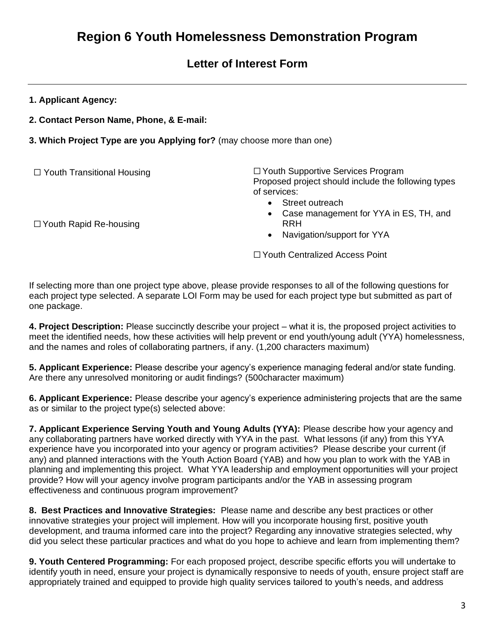# **Letter of Interest Form**

**1. Applicant Agency:**

**2. Contact Person Name, Phone, & E-mail:**

**3. Which Project Type are you Applying for?** (may choose more than one)

☐ Youth Transitional Housing

☐ Youth Rapid Re-housing

☐ Youth Supportive Services Program Proposed project should include the following types of services:

- Street outreach
- Case management for YYA in ES, TH, and RRH

• Navigation/support for YYA

☐ Youth Centralized Access Point

If selecting more than one project type above, please provide responses to all of the following questions for each project type selected. A separate LOI Form may be used for each project type but submitted as part of one package.

**4. Project Description:** Please succinctly describe your project – what it is, the proposed project activities to meet the identified needs, how these activities will help prevent or end youth/young adult (YYA) homelessness, and the names and roles of collaborating partners, if any. (1,200 characters maximum)

**5. Applicant Experience:** Please describe your agency's experience managing federal and/or state funding. Are there any unresolved monitoring or audit findings? (500character maximum)

**6. Applicant Experience:** Please describe your agency's experience administering projects that are the same as or similar to the project type(s) selected above:

**7. Applicant Experience Serving Youth and Young Adults (YYA):** Please describe how your agency and any collaborating partners have worked directly with YYA in the past. What lessons (if any) from this YYA experience have you incorporated into your agency or program activities? Please describe your current (if any) and planned interactions with the Youth Action Board (YAB) and how you plan to work with the YAB in planning and implementing this project. What YYA leadership and employment opportunities will your project provide? How will your agency involve program participants and/or the YAB in assessing program effectiveness and continuous program improvement?

**8. Best Practices and Innovative Strategies:** Please name and describe any best practices or other innovative strategies your project will implement. How will you incorporate housing first, positive youth development, and trauma informed care into the project? Regarding any innovative strategies selected, why did you select these particular practices and what do you hope to achieve and learn from implementing them?

**9. Youth Centered Programming:** For each proposed project, describe specific efforts you will undertake to identify youth in need, ensure your project is dynamically responsive to needs of youth, ensure project staff are appropriately trained and equipped to provide high quality services tailored to youth's needs, and address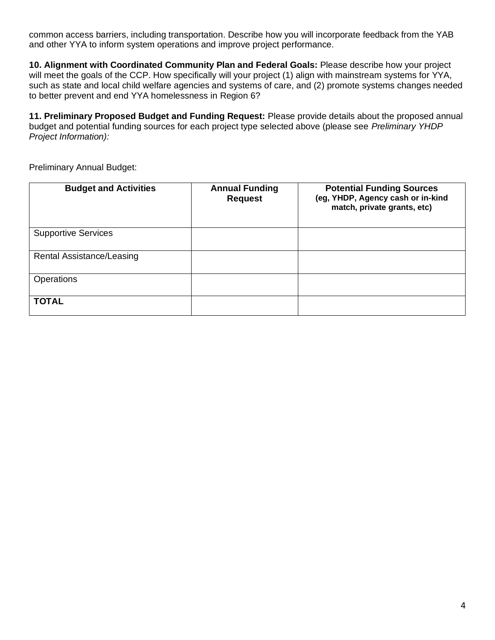common access barriers, including transportation. Describe how you will incorporate feedback from the YAB and other YYA to inform system operations and improve project performance.

**10. Alignment with Coordinated Community Plan and Federal Goals:** Please describe how your project will meet the goals of the CCP. How specifically will your project (1) align with mainstream systems for YYA, such as state and local child welfare agencies and systems of care, and (2) promote systems changes needed to better prevent and end YYA homelessness in Region 6?

**11. Preliminary Proposed Budget and Funding Request:** Please provide details about the proposed annual budget and potential funding sources for each project type selected above (please see *Preliminary YHDP Project Information):* 

Preliminary Annual Budget:

| <b>Budget and Activities</b> | <b>Annual Funding</b><br><b>Request</b> | <b>Potential Funding Sources</b><br>(eg, YHDP, Agency cash or in-kind<br>match, private grants, etc) |
|------------------------------|-----------------------------------------|------------------------------------------------------------------------------------------------------|
| <b>Supportive Services</b>   |                                         |                                                                                                      |
| Rental Assistance/Leasing    |                                         |                                                                                                      |
| Operations                   |                                         |                                                                                                      |
| <b>TOTAL</b>                 |                                         |                                                                                                      |